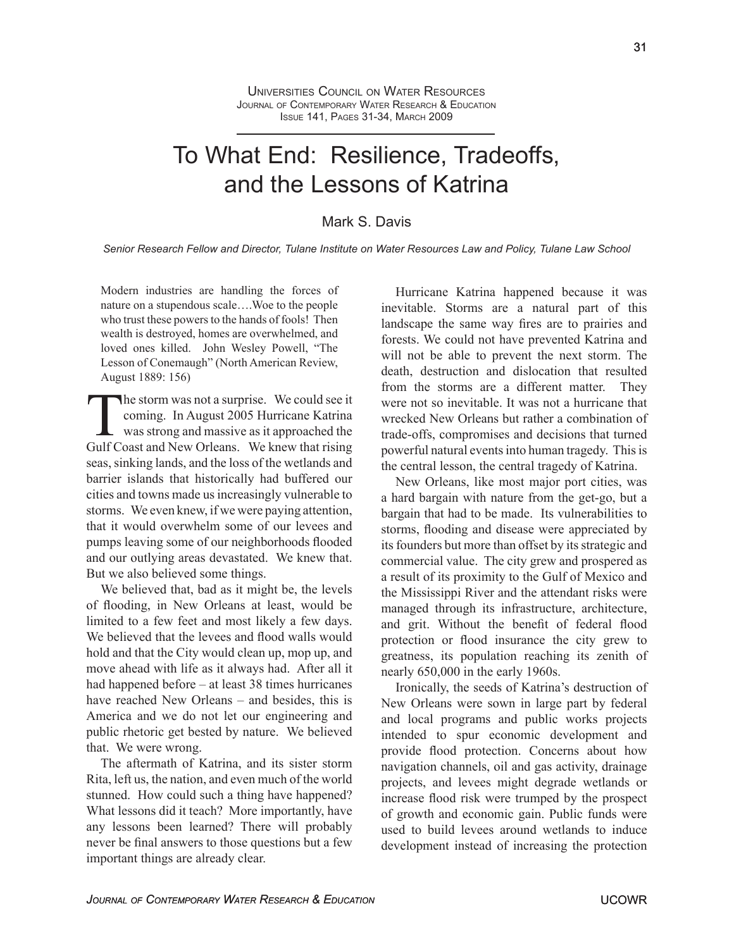Universities Council on Water Resources JOURNAL OF CONTEMPORARY WATER RESEARCH & EDUCATION Issue 141, Pages 31-34, March 2009

## To What End: Resilience, Tradeoffs, and the Lessons of Katrina

Mark S. Davis

*Senior Research Fellow and Director, Tulane Institute on Water Resources Law and Policy, Tulane Law School*

Modern industries are handling the forces of nature on a stupendous scale….Woe to the people who trust these powers to the hands of fools! Then wealth is destroyed, homes are overwhelmed, and loved ones killed. John Wesley Powell, "The Lesson of Conemaugh" (North American Review, August 1889: 156)

The storm was not a surprise. We could see it<br>coming. In August 2005 Hurricane Katrina<br>was strong and massive as it approached the<br>Gulf Coast and New Orleans. We knew that rising coming. In August 2005 Hurricane Katrina was strong and massive as it approached the Gulf Coast and New Orleans. We knew that rising seas, sinking lands, and the loss of the wetlands and barrier islands that historically had buffered our cities and towns made us increasingly vulnerable to storms. We even knew, if we were paying attention, that it would overwhelm some of our levees and pumps leaving some of our neighborhoods flooded and our outlying areas devastated. We knew that. But we also believed some things.

We believed that, bad as it might be, the levels of flooding, in New Orleans at least, would be limited to a few feet and most likely a few days. We believed that the levees and flood walls would hold and that the City would clean up, mop up, and move ahead with life as it always had. After all it had happened before – at least 38 times hurricanes have reached New Orleans – and besides, this is America and we do not let our engineering and public rhetoric get bested by nature. We believed that. We were wrong.

The aftermath of Katrina, and its sister storm Rita, left us, the nation, and even much of the world stunned. How could such a thing have happened? What lessons did it teach? More importantly, have any lessons been learned? There will probably never be final answers to those questions but a few important things are already clear.

Hurricane Katrina happened because it was inevitable. Storms are a natural part of this landscape the same way fires are to prairies and forests. We could not have prevented Katrina and will not be able to prevent the next storm. The death, destruction and dislocation that resulted from the storms are a different matter. They were not so inevitable. It was not a hurricane that wrecked New Orleans but rather a combination of trade-offs, compromises and decisions that turned powerful natural events into human tragedy. This is the central lesson, the central tragedy of Katrina.

New Orleans, like most major port cities, was a hard bargain with nature from the get-go, but a bargain that had to be made. Its vulnerabilities to storms, flooding and disease were appreciated by its founders but more than offset by its strategic and commercial value. The city grew and prospered as a result of its proximity to the Gulf of Mexico and the Mississippi River and the attendant risks were managed through its infrastructure, architecture, and grit. Without the benefit of federal flood protection or flood insurance the city grew to greatness, its population reaching its zenith of nearly 650,000 in the early 1960s.

Ironically, the seeds of Katrina's destruction of New Orleans were sown in large part by federal and local programs and public works projects intended to spur economic development and provide flood protection. Concerns about how navigation channels, oil and gas activity, drainage projects, and levees might degrade wetlands or increase flood risk were trumped by the prospect of growth and economic gain. Public funds were used to build levees around wetlands to induce development instead of increasing the protection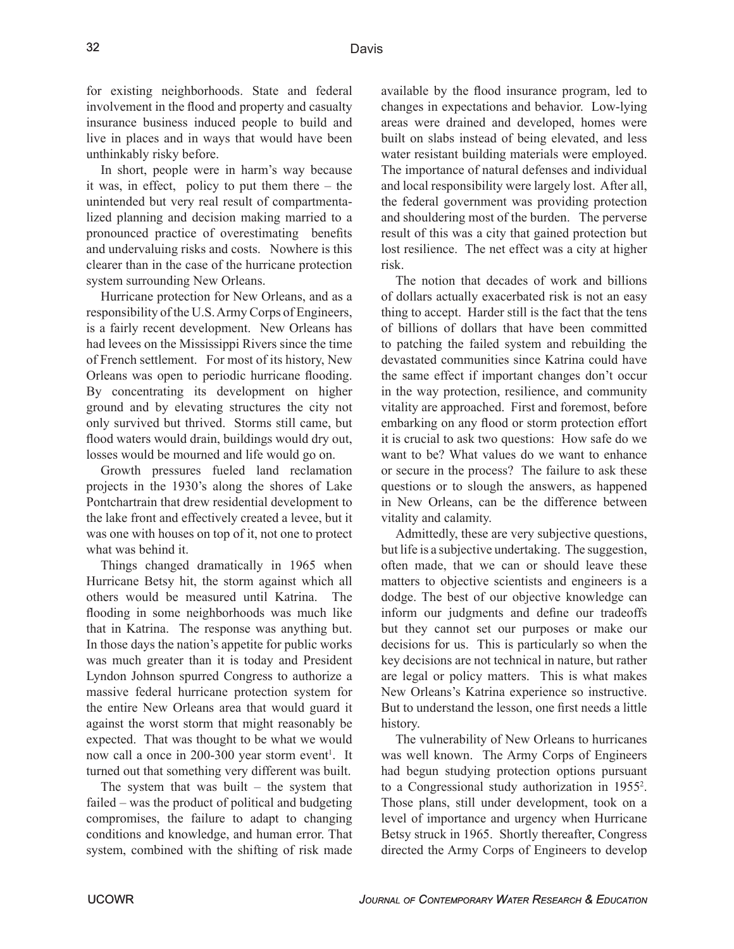for existing neighborhoods. State and federal involvement in the flood and property and casualty insurance business induced people to build and live in places and in ways that would have been unthinkably risky before.

In short, people were in harm's way because it was, in effect, policy to put them there – the unintended but very real result of compartmentalized planning and decision making married to a pronounced practice of overestimating benefits and undervaluing risks and costs. Nowhere is this clearer than in the case of the hurricane protection system surrounding New Orleans.

Hurricane protection for New Orleans, and as a responsibility of the U.S. Army Corps of Engineers, is a fairly recent development. New Orleans has had levees on the Mississippi Rivers since the time of French settlement. For most of its history, New Orleans was open to periodic hurricane flooding. By concentrating its development on higher ground and by elevating structures the city not only survived but thrived. Storms still came, but flood waters would drain, buildings would dry out, losses would be mourned and life would go on.

Growth pressures fueled land reclamation projects in the 1930's along the shores of Lake Pontchartrain that drew residential development to the lake front and effectively created a levee, but it was one with houses on top of it, not one to protect what was behind it.

Things changed dramatically in 1965 when Hurricane Betsy hit, the storm against which all others would be measured until Katrina. The flooding in some neighborhoods was much like that in Katrina. The response was anything but. In those days the nation's appetite for public works was much greater than it is today and President Lyndon Johnson spurred Congress to authorize a massive federal hurricane protection system for the entire New Orleans area that would guard it against the worst storm that might reasonably be expected. That was thought to be what we would now call a once in 200-300 year storm event<sup>1</sup>. It turned out that something very different was built.

The system that was built  $-$  the system that failed – was the product of political and budgeting compromises, the failure to adapt to changing conditions and knowledge, and human error. That system, combined with the shifting of risk made

available by the flood insurance program, led to changes in expectations and behavior. Low-lying areas were drained and developed, homes were built on slabs instead of being elevated, and less water resistant building materials were employed. The importance of natural defenses and individual and local responsibility were largely lost. After all, the federal government was providing protection and shouldering most of the burden. The perverse result of this was a city that gained protection but lost resilience. The net effect was a city at higher risk.

The notion that decades of work and billions of dollars actually exacerbated risk is not an easy thing to accept. Harder still is the fact that the tens of billions of dollars that have been committed to patching the failed system and rebuilding the devastated communities since Katrina could have the same effect if important changes don't occur in the way protection, resilience, and community vitality are approached. First and foremost, before embarking on any flood or storm protection effort it is crucial to ask two questions: How safe do we want to be? What values do we want to enhance or secure in the process? The failure to ask these questions or to slough the answers, as happened in New Orleans, can be the difference between vitality and calamity.

Admittedly, these are very subjective questions, but life is a subjective undertaking. The suggestion, often made, that we can or should leave these matters to objective scientists and engineers is a dodge. The best of our objective knowledge can inform our judgments and define our tradeoffs but they cannot set our purposes or make our decisions for us. This is particularly so when the key decisions are not technical in nature, but rather are legal or policy matters. This is what makes New Orleans's Katrina experience so instructive. But to understand the lesson, one first needs a little history.

The vulnerability of New Orleans to hurricanes was well known. The Army Corps of Engineers had begun studying protection options pursuant to a Congressional study authorization in 19552 . Those plans, still under development, took on a level of importance and urgency when Hurricane Betsy struck in 1965. Shortly thereafter, Congress directed the Army Corps of Engineers to develop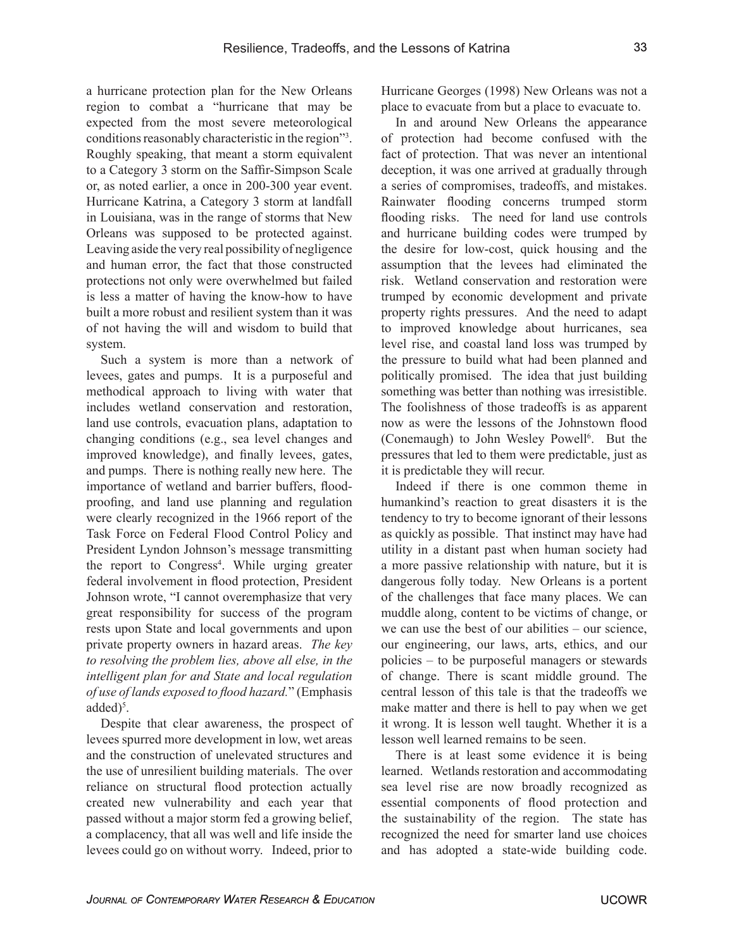a hurricane protection plan for the New Orleans region to combat a "hurricane that may be expected from the most severe meteorological conditions reasonably characteristic in the region"3 . Roughly speaking, that meant a storm equivalent to a Category 3 storm on the Saffir-Simpson Scale or, as noted earlier, a once in 200-300 year event. Hurricane Katrina, a Category 3 storm at landfall in Louisiana, was in the range of storms that New Orleans was supposed to be protected against. Leaving aside the very real possibility of negligence and human error, the fact that those constructed protections not only were overwhelmed but failed is less a matter of having the know-how to have built a more robust and resilient system than it was of not having the will and wisdom to build that system.

Such a system is more than a network of levees, gates and pumps. It is a purposeful and methodical approach to living with water that includes wetland conservation and restoration, land use controls, evacuation plans, adaptation to changing conditions (e.g., sea level changes and improved knowledge), and finally levees, gates, and pumps. There is nothing really new here. The importance of wetland and barrier buffers, floodproofing, and land use planning and regulation were clearly recognized in the 1966 report of the Task Force on Federal Flood Control Policy and President Lyndon Johnson's message transmitting the report to Congress<sup>4</sup>. While urging greater federal involvement in flood protection, President Johnson wrote, "I cannot overemphasize that very great responsibility for success of the program rests upon State and local governments and upon private property owners in hazard areas. *The key to resolving the problem lies, above all else, in the intelligent plan for and State and local regulation of use of lands exposed to flood hazard.*" (Emphasis  $added)^5$ .

Despite that clear awareness, the prospect of levees spurred more development in low, wet areas and the construction of unelevated structures and the use of unresilient building materials. The over reliance on structural flood protection actually created new vulnerability and each year that passed without a major storm fed a growing belief, a complacency, that all was well and life inside the levees could go on without worry. Indeed, prior to Hurricane Georges (1998) New Orleans was not a place to evacuate from but a place to evacuate to.

In and around New Orleans the appearance of protection had become confused with the fact of protection. That was never an intentional deception, it was one arrived at gradually through a series of compromises, tradeoffs, and mistakes. Rainwater flooding concerns trumped storm flooding risks. The need for land use controls and hurricane building codes were trumped by the desire for low-cost, quick housing and the assumption that the levees had eliminated the risk. Wetland conservation and restoration were trumped by economic development and private property rights pressures. And the need to adapt to improved knowledge about hurricanes, sea level rise, and coastal land loss was trumped by the pressure to build what had been planned and politically promised. The idea that just building something was better than nothing was irresistible. The foolishness of those tradeoffs is as apparent now as were the lessons of the Johnstown flood (Conemaugh) to John Wesley Powell<sup>6</sup>. But the pressures that led to them were predictable, just as it is predictable they will recur.

Indeed if there is one common theme in humankind's reaction to great disasters it is the tendency to try to become ignorant of their lessons as quickly as possible. That instinct may have had utility in a distant past when human society had a more passive relationship with nature, but it is dangerous folly today. New Orleans is a portent of the challenges that face many places. We can muddle along, content to be victims of change, or we can use the best of our abilities – our science, our engineering, our laws, arts, ethics, and our policies – to be purposeful managers or stewards of change. There is scant middle ground. The central lesson of this tale is that the tradeoffs we make matter and there is hell to pay when we get it wrong. It is lesson well taught. Whether it is a lesson well learned remains to be seen.

There is at least some evidence it is being learned. Wetlands restoration and accommodating sea level rise are now broadly recognized as essential components of flood protection and the sustainability of the region. The state has recognized the need for smarter land use choices and has adopted a state-wide building code.